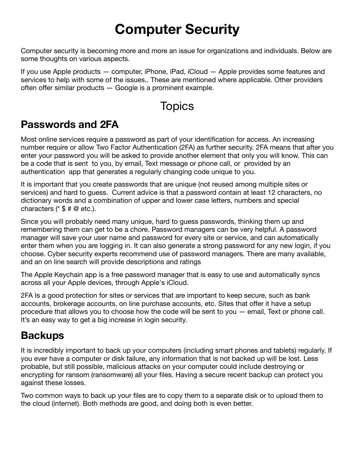# **Computer Security**

Computer security is becoming more and more an issue for organizations and individuals. Below are some thoughts on various aspects.

If you use Apple products — computer, iPhone, iPad, iCloud — Apple provides some features and services to help with some of the issues.. These are mentioned where applicable. Other providers often offer similar products — Google is a prominent example.

# **Topics**

# **Passwords and 2FA**

Most online services require a password as part of your identification for access. An increasing number require or allow Two Factor Authentication (2FA) as further security. 2FA means that after you enter your password you will be asked to provide another element that only you will know. This can be a code that is sent to you, by email, Text message or phone call, or provided by an authentication app that generates a regularly changing code unique to you.

It is important that you create passwords that are unique (not reused among multiple sites or services) and hard to guess. Current advice is that a password contain at least 12 characters, no dictionary words and a combination of upper and lower case letters, numbers and special characters  $(*$  \$ # @ etc.).

Since you will probably need many unique, hard to guess passwords, thinking them up and remembering them can get to be a chore. Password managers can be very helpful. A password manager will save your user name and password for every site or service, and can automatically enter them when you are logging in. It can also generate a strong password for any new login, if you choose. Cyber security experts recommend use of password managers. There are many available, and an on line search will provide descriptions and ratings

The Apple Keychain app is a free password manager that is easy to use and automatically syncs across all your Apple devices, through Apple's iCloud.

2FA Is a good protection for sites or services that are important to keep secure, such as bank accounts, brokerage accounts, on line purchase accounts, etc. Sites that offer it have a setup procedure that allows you to choose how the code will be sent to you — email, Text or phone call. It's an easy way to get a big increase in login security.

# **Backups**

It is incredibly important to back up your computers (including smart phones and tablets) regularly. If you ever have a computer or disk failure, any information that is not backed up will be lost. Less probable, but still possible, malicious attacks on your computer could include destroying or encrypting for ransom (ransomware) all your files. Having a secure recent backup can protect you against these losses.

Two common ways to back up your files are to copy them to a separate disk or to upload them to the cloud (internet). Both methods are good, and doing both is even better.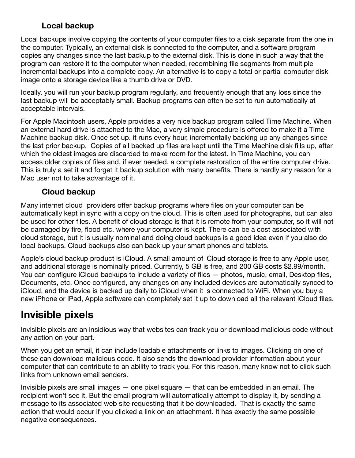#### **Local backup**

Local backups involve copying the contents of your computer files to a disk separate from the one in the computer. Typically, an external disk is connected to the computer, and a software program copies any changes since the last backup to the external disk. This is done in such a way that the program can restore it to the computer when needed, recombining file segments from multiple incremental backups into a complete copy. An alternative is to copy a total or partial computer disk image onto a storage device like a thumb drive or DVD.

Ideally, you will run your backup program regularly, and frequently enough that any loss since the last backup will be acceptably small. Backup programs can often be set to run automatically at acceptable intervals.

For Apple Macintosh users, Apple provides a very nice backup program called Time Machine. When an external hard drive is attached to the Mac, a very simple procedure is offered to make it a Time Machine backup disk. Once set up. it runs every hour, incrementally backing up any changes since the last prior backup. Copies of all backed up files are kept until the Time Machine disk fills up, after which the oldest images are discarded to make room for the latest. In Time Machine, you can access older copies of files and, if ever needed, a complete restoration of the entire computer drive. This is truly a set it and forget it backup solution with many benefits. There is hardly any reason for a Mac user not to take advantage of it.

#### **Cloud backup**

Many internet cloud providers offer backup programs where files on your computer can be automatically kept in sync with a copy on the cloud. This is often used for photographs, but can also be used for other files. A benefit of cloud storage is that it is remote from your computer, so it will not be damaged by fire, flood etc. where your computer is kept. There can be a cost associated with cloud storage, but it is usually nominal and doing cloud backups is a good idea even if you also do local backups. Cloud backups also can back up your smart phones and tablets.

Apple's cloud backup product is iCloud. A small amount of iCloud storage is free to any Apple user, and additional storage is nominally priced. Currently, 5 GB is free, and 200 GB costs \$2.99/month. You can configure iCloud backups to include a variety of files — photos, music, email, Desktop files, Documents, etc. Once configured, any changes on any included devices are automatically synced to iCloud, and the device is backed up daily to iCloud when it is connected to WiFi. When you buy a new iPhone or iPad, Apple software can completely set it up to download all the relevant iCloud files.

### **Invisible pixels**

Invisible pixels are an insidious way that websites can track you or download malicious code without any action on your part.

When you get an email, it can include loadable attachments or links to images. Clicking on one of these can download malicious code. It also sends the download provider information about your computer that can contribute to an ability to track you. For this reason, many know not to click such links from unknown email senders.

Invisible pixels are small images — one pixel square — that can be embedded in an email. The recipient won't see it. But the email program will automatically attempt to display it, by sending a message to its associated web site requesting that it be downloaded. That is exactly the same action that would occur if you clicked a link on an attachment. It has exactly the same possible negative consequences.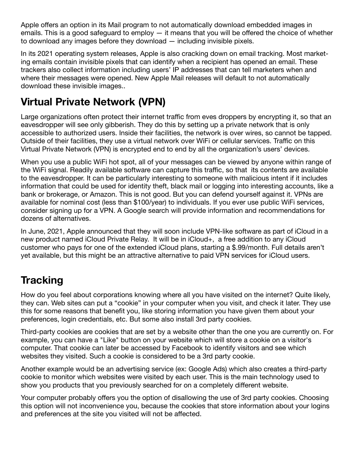Apple offers an option in its Mail program to not automatically download embedded images in emails. This is a good safeguard to employ — it means that you will be offered the choice of whether to download any images before they download — including invisible pixels.

In its 2021 operating system releases, Apple is also cracking down on email tracking. Most marketing emails contain invisible pixels that can identify when a recipient has opened an email. These trackers also collect information including users' IP addresses that can tell marketers when and where their messages were opened. New Apple Mail releases will default to not automatically download these invisible images..

# **Virtual Private Network (VPN)**

Large organizations often protect their internet traffic from eves droppers by encrypting it, so that an eavesdropper will see only gibberish. They do this by setting up a private network that is only accessible to authorized users. Inside their facilities, the network is over wires, so cannot be tapped. Outside of their facilities, they use a virtual network over WiFi or cellular services. Traffic on this Virtual Private Network (VPN) is encrypted end to end by all the organization's users' devices.

When you use a public WiFi hot spot, all of your messages can be viewed by anyone within range of the WiFi signal. Readily available software can capture this traffic, so that its contents are available to the eavesdropper. It can be particularly interesting to someone with malicious intent if it includes information that could be used for identity theft, black mail or logging into interesting accounts, like a bank or brokerage, or Amazon. This is not good. But you can defend yourself against it. VPNs are available for nominal cost (less than \$100/year) to individuals. If you ever use public WiFi services, consider signing up for a VPN. A Google search will provide information and recommendations for dozens of alternatives.

In June, 2021, Apple announced that they will soon include VPN-like software as part of iCloud in a new product named iCloud Private Relay. It will be in iCloud+, a free addition to any iCloud customer who pays for one of the extended iCloud plans, starting a \$.99/month. Full details aren't yet available, but this might be an attractive alternative to paid VPN services for iCloud users.

### **Tracking**

How do you feel about corporations knowing where all you have visited on the internet? Quite likely, they can. Web sites can put a "cookie" in your computer when you visit, and check it later. They use this for some reasons that benefit you, like storing information you have given them about your preferences, login credentials, etc. But some also install 3rd party cookies.

Third-party cookies are cookies that are set by a website other than the one you are currently on. For example, you can have a "Like" button on your website which will store a cookie on a visitor's computer. That cookie can later be accessed by Facebook to identify visitors and see which websites they visited. Such a cookie is considered to be a 3rd party cookie.

Another example would be an advertising service (ex: Google Ads) which also creates a third-party cookie to monitor which websites were visited by each user. This is the main technology used to show you products that you previously searched for on a completely different website.

Your computer probably offers you the option of disallowing the use of 3rd party cookies. Choosing this option will not inconvenience you, because the cookies that store information about your logins and preferences at the site you visited will not be affected.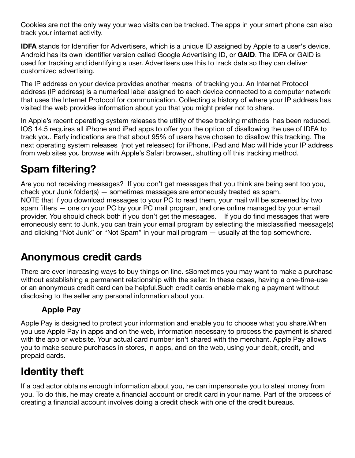Cookies are not the only way your web visits can be tracked. The apps in your smart phone can also track your internet activity.

**IDFA** stands for Identifier for Advertisers, which is a unique ID assigned by Apple to a user's device. Android has its own identifier version called Google Advertising ID, or **GAID**. The IDFA or GAID is used for tracking and identifying a user. Advertisers use this to track data so they can deliver customized advertising.

The IP address on your device provides another means of tracking you. An Internet Protocol address (IP address) is a numerical label assigned to each device connected to a [computer network](https://en.wikipedia.org/wiki/Computer_network) that uses the [Internet Protocol](https://en.wikipedia.org/wiki/Internet_Protocol) for communication. Collecting a history of where your IP address has visited the web provides information about you that you might prefer not to share.

In Apple's recent operating system releases the utility of these tracking methods has been reduced. IOS 14.5 requires all iPhone and iPad apps to offer you the option of disallowing the use of IDFA to track you. Early indications are that about 95% of users have chosen to disallow this tracking. The next operating system releases (not yet released) for iPhone, iPad and Mac will hide your IP address from web sites you browse with Apple's Safari browser,, shutting off this tracking method.

# **Spam filtering?**

Are you not receiving messages? If you don't get messages that you think are being sent too you, check your Junk folder(s) — sometimes messages are erroneously treated as spam. NOTE that if you download messages to your PC to read them, your mail will be screened by two spam filters — one on your PC by your PC mail program, and one online managed by your email provider. You should check both if you don't get the messages. If you do find messages that were erroneously sent to Junk, you can train your email program by selecting the misclassified message(s) and clicking "Not Junk" or "Not Spam" in your mail program — usually at the top somewhere.

### **Anonymous credit cards**

There are ever increasing ways to buy things on line. sSometimes you may want to make a purchase without establishing a permanent relationship with the seller. In these cases, having a one-time-use or an anonymous credit card can be helpful.Such credit cards enable making a payment without disclosing to the seller any personal information about you.

#### **Apple Pay**

Apple Pay is designed to protect your information and enable you to choose what you share.When you use Apple Pay in apps and on the web, information necessary to process the payment is shared with the app or website. Your actual card number isn't shared with the merchant. Apple Pay allows you to make secure purchases in stores, in apps, and on the web, using your debit, credit, and prepaid cards.

# **Identity theft**

If a bad actor obtains enough information about you, he can impersonate you to steal money from you. To do this, he may create a financial account or credit card in your name. Part of the process of creating a financial account involves doing a credit check with one of the credit bureaus.